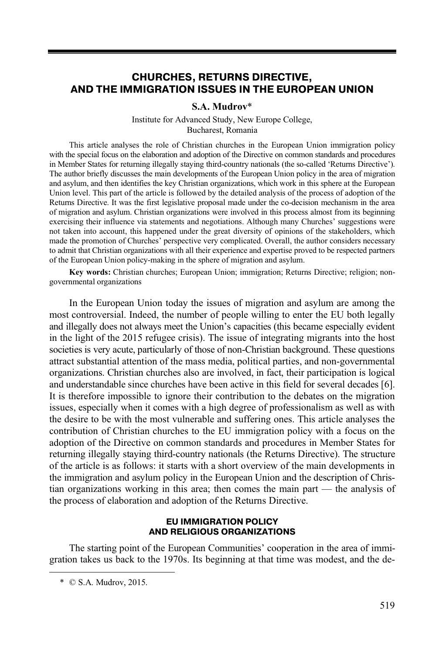# **CHURCHES, RETURNS DIRECTIVE, AND THE IMMIGRATION ISSUES IN THE EUROPEAN UNION**

#### **S.A. Mudrov**\*

Institute for Advanced Study, New Europe College, Bucharest, Romania

This article analyses the role of Christian churches in the European Union immigration policy with the special focus on the elaboration and adoption of the Directive on common standards and procedures in Member States for returning illegally staying third-country nationals (the so-called 'Returns Directive'). The author briefly discusses the main developments of the European Union policy in the area of migration and asylum, and then identifies the key Christian organizations, which work in this sphere at the European Union level. This part of the article is followed by the detailed analysis of the process of adoption of the Returns Directive. It was the first legislative proposal made under the co-decision mechanism in the area of migration and asylum. Christian organizations were involved in this process almost from its beginning exercising their influence via statements and negotiations. Although many Churches' suggestions were not taken into account, this happened under the great diversity of opinions of the stakeholders, which made the promotion of Churches' perspective very complicated. Overall, the author considers necessary to admit that Christian organizations with all their experience and expertise proved to be respected partners of the European Union policy-making in the sphere of migration and asylum.

**Key words:** Christian churches; European Union; immigration; Returns Directive; religion; nongovernmental organizations

In the European Union today the issues of migration and asylum are among the most controversial. Indeed, the number of people willing to enter the EU both legally and illegally does not always meet the Union's capacities (this became especially evident in the light of the 2015 refugee crisis). The issue of integrating migrants into the host societies is very acute, particularly of those of non-Christian background. These questions attract substantial attention of the mass media, political parties, and non-governmental organizations. Christian churches also are involved, in fact, their participation is logical and understandable since churches have been active in this field for several decades [6]. It is therefore impossible to ignore their contribution to the debates on the migration issues, especially when it comes with a high degree of professionalism as well as with the desire to be with the most vulnerable and suffering ones. This article analyses the contribution of Christian churches to the EU immigration policy with a focus on the adoption of the Directive on common standards and procedures in Member States for returning illegally staying third-country nationals (the Returns Directive). The structure of the article is as follows: it starts with a short overview of the main developments in the immigration and asylum policy in the European Union and the description of Christian organizations working in this area; then comes the main part — the analysis of the process of elaboration and adoption of the Returns Directive.

#### **EU IMMIGRATION POLICY AND RELIGIOUS ORGANIZATIONS**

The starting point of the European Communities' cooperation in the area of immigration takes us back to the 1970s. Its beginning at that time was modest, and the de-

 $\overline{a}$ 

 <sup>\* ©</sup> S.A. Mudrov, 2015.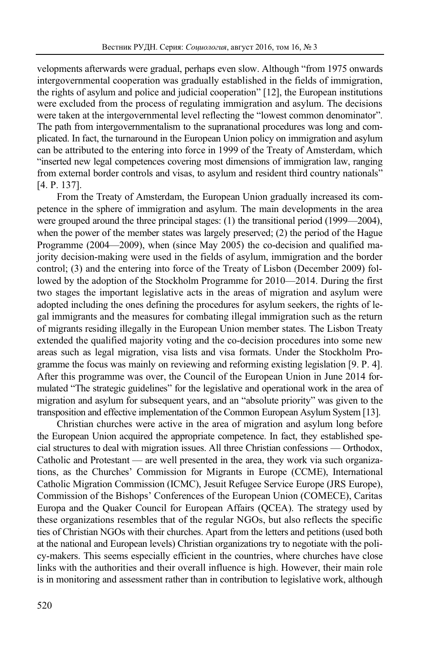velopments afterwards were gradual, perhaps even slow. Although "from 1975 onwards intergovernmental cooperation was gradually established in the fields of immigration, the rights of asylum and police and judicial cooperation" [12], the European institutions were excluded from the process of regulating immigration and asylum. The decisions were taken at the intergovernmental level reflecting the "lowest common denominator". The path from intergovernmentalism to the supranational procedures was long and complicated. In fact, the turnaround in the European Union policy on immigration and asylum can be attributed to the entering into force in 1999 of the Treaty of Amsterdam, which "inserted new legal competences covering most dimensions of immigration law, ranging from external border controls and visas, to asylum and resident third country nationals" [4. P. 137].

From the Treaty of Amsterdam, the European Union gradually increased its competence in the sphere of immigration and asylum. The main developments in the area were grouped around the three principal stages: (1) the transitional period (1999—2004), when the power of the member states was largely preserved; (2) the period of the Hague Programme (2004—2009), when (since May 2005) the co-decision and qualified majority decision-making were used in the fields of asylum, immigration and the border control; (3) and the entering into force of the Treaty of Lisbon (December 2009) followed by the adoption of the Stockholm Programme for 2010—2014. During the first two stages the important legislative acts in the areas of migration and asylum were adopted including the ones defining the procedures for asylum seekers, the rights of legal immigrants and the measures for combating illegal immigration such as the return of migrants residing illegally in the European Union member states. The Lisbon Treaty extended the qualified majority voting and the co-decision procedures into some new areas such as legal migration, visa lists and visa formats. Under the Stockholm Programme the focus was mainly on reviewing and reforming existing legislation [9. P. 4]. After this programme was over, the Council of the European Union in June 2014 formulated "The strategic guidelines" for the legislative and operational work in the area of migration and asylum for subsequent years, and an "absolute priority" was given to the transposition and effective implementation of the Common European Asylum System [13].

Christian churches were active in the area of migration and asylum long before the European Union acquired the appropriate competence. In fact, they established special structures to deal with migration issues. All three Christian confessions — Orthodox, Catholic and Protestant — are well presented in the area, they work via such organizations, as the Churches' Commission for Migrants in Europe (CCME), International Catholic Migration Commission (ICMC), Jesuit Refugee Service Europe (JRS Europe), Commission of the Bishops' Conferences of the European Union (COMECE), Caritas Europa and the Quaker Council for European Affairs (QCEA). The strategy used by these organizations resembles that of the regular NGOs, but also reflects the specific ties of Christian NGOs with their churches. Apart from the letters and petitions (used both at the national and European levels) Christian organizations try to negotiate with the policy-makers. This seems especially efficient in the countries, where churches have close links with the authorities and their overall influence is high. However, their main role is in monitoring and assessment rather than in contribution to legislative work, although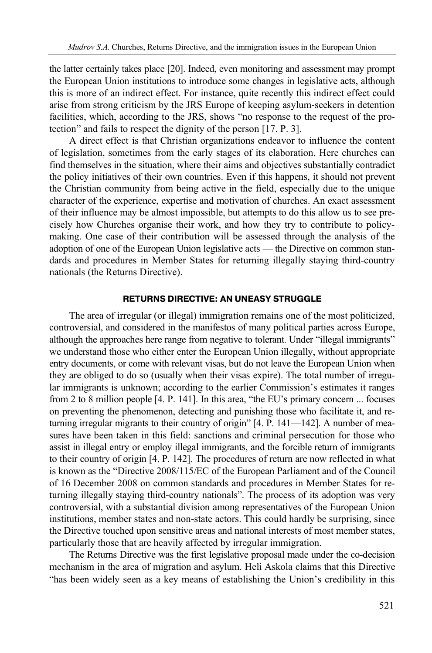the latter certainly takes place [20]. Indeed, even monitoring and assessment may prompt the European Union institutions to introduce some changes in legislative acts, although this is more of an indirect effect. For instance, quite recently this indirect effect could arise from strong criticism by the JRS Europe of keeping asylum-seekers in detention facilities, which, according to the JRS, shows "no response to the request of the protection" and fails to respect the dignity of the person [17. P. 3].

A direct effect is that Christian organizations endeavor to influence the content of legislation, sometimes from the early stages of its elaboration. Here churches can find themselves in the situation, where their aims and objectives substantially contradict the policy initiatives of their own countries. Even if this happens, it should not prevent the Christian community from being active in the field, especially due to the unique character of the experience, expertise and motivation of churches. An exact assessment of their influence may be almost impossible, but attempts to do this allow us to see precisely how Churches organise their work, and how they try to contribute to policymaking. One case of their contribution will be assessed through the analysis of the adoption of one of the European Union legislative acts — the Directive on common standards and procedures in Member States for returning illegally staying third-country nationals (the Returns Directive).

### **RETURNS DIRECTIVE: AN UNEASY STRUGGLE**

The area of irregular (or illegal) immigration remains one of the most politicized, controversial, and considered in the manifestos of many political parties across Europe, although the approaches here range from negative to tolerant. Under "illegal immigrants" we understand those who either enter the European Union illegally, without appropriate entry documents, or come with relevant visas, but do not leave the European Union when they are obliged to do so (usually when their visas expire). The total number of irregular immigrants is unknown; according to the earlier Commission's estimates it ranges from 2 to 8 million people [4. P. 141]. In this area, "the EU's primary concern ... focuses on preventing the phenomenon, detecting and punishing those who facilitate it, and returning irregular migrants to their country of origin" [4. P. 141—142]. A number of measures have been taken in this field: sanctions and criminal persecution for those who assist in illegal entry or employ illegal immigrants, and the forcible return of immigrants to their country of origin [4. P. 142]. The procedures of return are now reflected in what is known as the "Directive 2008/115/EC of the European Parliament and of the Council of 16 December 2008 on common standards and procedures in Member States for returning illegally staying third-country nationals". The process of its adoption was very controversial, with a substantial division among representatives of the European Union institutions, member states and non-state actors. This could hardly be surprising, since the Directive touched upon sensitive areas and national interests of most member states, particularly those that are heavily affected by irregular immigration.

The Returns Directive was the first legislative proposal made under the co-decision mechanism in the area of migration and asylum. Heli Askola claims that this Directive "has been widely seen as a key means of establishing the Union's credibility in this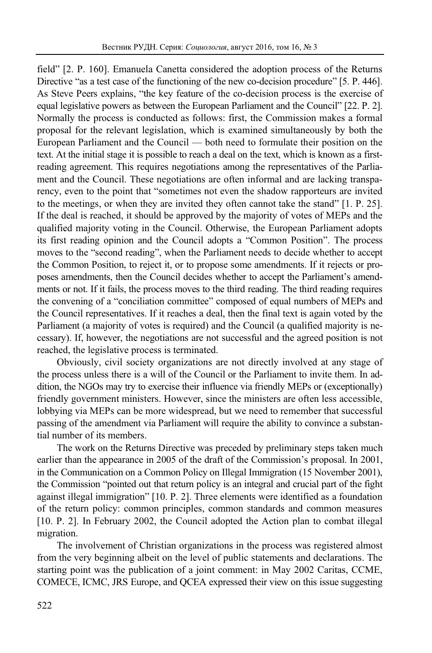field" [2. P. 160]. Emanuela Canetta considered the adoption process of the Returns Directive "as a test case of the functioning of the new co-decision procedure" [5. P. 446]. As Steve Peers explains, "the key feature of the co-decision process is the exercise of equal legislative powers as between the European Parliament and the Council" [22. P. 2]. Normally the process is conducted as follows: first, the Commission makes a formal proposal for the relevant legislation, which is examined simultaneously by both the European Parliament and the Council — both need to formulate their position on the text. At the initial stage it is possible to reach a deal on the text, which is known as a firstreading agreement. This requires negotiations among the representatives of the Parliament and the Council. These negotiations are often informal and are lacking transparency, even to the point that "sometimes not even the shadow rapporteurs are invited to the meetings, or when they are invited they often cannot take the stand" [1. P. 25]. If the deal is reached, it should be approved by the majority of votes of MEPs and the qualified majority voting in the Council. Otherwise, the European Parliament adopts its first reading opinion and the Council adopts a "Common Position". The process moves to the "second reading", when the Parliament needs to decide whether to accept the Common Position, to reject it, or to propose some amendments. If it rejects or proposes amendments, then the Council decides whether to accept the Parliament's amendments or not. If it fails, the process moves to the third reading. The third reading requires the convening of a "conciliation committee" composed of equal numbers of MEPs and the Council representatives. If it reaches a deal, then the final text is again voted by the Parliament (a majority of votes is required) and the Council (a qualified majority is necessary). If, however, the negotiations are not successful and the agreed position is not reached, the legislative process is terminated.

Obviously, civil society organizations are not directly involved at any stage of the process unless there is a will of the Council or the Parliament to invite them. In addition, the NGOs may try to exercise their influence via friendly MEPs or (exceptionally) friendly government ministers. However, since the ministers are often less accessible, lobbying via MEPs can be more widespread, but we need to remember that successful passing of the amendment via Parliament will require the ability to convince a substantial number of its members.

The work on the Returns Directive was preceded by preliminary steps taken much earlier than the appearance in 2005 of the draft of the Commission's proposal. In 2001, in the Communication on a Common Policy on Illegal Immigration (15 November 2001), the Commission "pointed out that return policy is an integral and crucial part of the fight against illegal immigration" [10. P. 2]. Three elements were identified as a foundation of the return policy: common principles, common standards and common measures [10. P. 2]. In February 2002, the Council adopted the Action plan to combat illegal migration.

The involvement of Christian organizations in the process was registered almost from the very beginning albeit on the level of public statements and declarations. The starting point was the publication of a joint comment: in May 2002 Caritas, CCME, COMECE, ICMC, JRS Europe, and QCEA expressed their view on this issue suggesting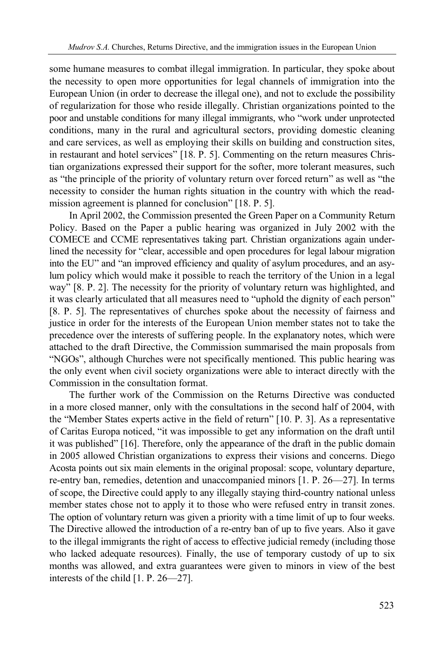some humane measures to combat illegal immigration. In particular, they spoke about the necessity to open more opportunities for legal channels of immigration into the European Union (in order to decrease the illegal one), and not to exclude the possibility of regularization for those who reside illegally. Christian organizations pointed to the poor and unstable conditions for many illegal immigrants, who "work under unprotected conditions, many in the rural and agricultural sectors, providing domestic cleaning and care services, as well as employing their skills on building and construction sites, in restaurant and hotel services" [18. P. 5]. Commenting on the return measures Christian organizations expressed their support for the softer, more tolerant measures, such as "the principle of the priority of voluntary return over forced return" as well as "the necessity to consider the human rights situation in the country with which the readmission agreement is planned for conclusion" [18. P. 5].

In April 2002, the Commission presented the Green Paper on a Community Return Policy. Based on the Paper a public hearing was organized in July 2002 with the COMECE and CCME representatives taking part. Christian organizations again underlined the necessity for "clear, accessible and open procedures for legal labour migration into the EU" and "an improved efficiency and quality of asylum procedures, and an asylum policy which would make it possible to reach the territory of the Union in a legal way" [8. P. 2]. The necessity for the priority of voluntary return was highlighted, and it was clearly articulated that all measures need to "uphold the dignity of each person" [8. P. 5]. The representatives of churches spoke about the necessity of fairness and justice in order for the interests of the European Union member states not to take the precedence over the interests of suffering people. In the explanatory notes, which were attached to the draft Directive, the Commission summarised the main proposals from "NGOs", although Churches were not specifically mentioned. This public hearing was the only event when civil society organizations were able to interact directly with the Commission in the consultation format.

The further work of the Commission on the Returns Directive was conducted in a more closed manner, only with the consultations in the second half of 2004, with the "Member States experts active in the field of return" [10. P. 3]. As a representative of Caritas Europa noticed, "it was impossible to get any information on the draft until it was published" [16]. Therefore, only the appearance of the draft in the public domain in 2005 allowed Christian organizations to express their visions and concerns. Diego Acosta points out six main elements in the original proposal: scope, voluntary departure, re-entry ban, remedies, detention and unaccompanied minors [1. P. 26—27]. In terms of scope, the Directive could apply to any illegally staying third-country national unless member states chose not to apply it to those who were refused entry in transit zones. The option of voluntary return was given a priority with a time limit of up to four weeks. The Directive allowed the introduction of a re-entry ban of up to five years. Also it gave to the illegal immigrants the right of access to effective judicial remedy (including those who lacked adequate resources). Finally, the use of temporary custody of up to six months was allowed, and extra guarantees were given to minors in view of the best interests of the child [1. P. 26—27].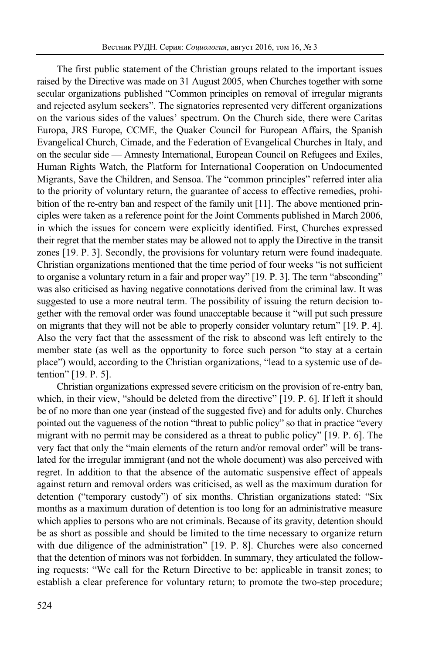The first public statement of the Christian groups related to the important issues raised by the Directive was made on 31 August 2005, when Churches together with some secular organizations published "Common principles on removal of irregular migrants and rejected asylum seekers". The signatories represented very different organizations on the various sides of the values' spectrum. On the Church side, there were Caritas Europa, JRS Europe, CCME, the Quaker Council for European Affairs, the Spanish Evangelical Church, Cimade, and the Federation of Evangelical Churches in Italy, and on the secular side — Amnesty International, European Council on Refugees and Exiles, Human Rights Watch, the Platform for International Cooperation on Undocumented Migrants, Save the Children, and Sensoa. The "common principles" referred inter alia to the priority of voluntary return, the guarantee of access to effective remedies, prohibition of the re-entry ban and respect of the family unit [11]. The above mentioned principles were taken as a reference point for the Joint Comments published in March 2006, in which the issues for concern were explicitly identified. First, Churches expressed their regret that the member states may be allowed not to apply the Directive in the transit zones [19. P. 3]. Secondly, the provisions for voluntary return were found inadequate. Christian organizations mentioned that the time period of four weeks "is not sufficient to organise a voluntary return in a fair and proper way" [19. P. 3]. The term "absconding" was also criticised as having negative connotations derived from the criminal law. It was suggested to use a more neutral term. The possibility of issuing the return decision together with the removal order was found unacceptable because it "will put such pressure on migrants that they will not be able to properly consider voluntary return" [19. P. 4]. Also the very fact that the assessment of the risk to abscond was left entirely to the member state (as well as the opportunity to force such person "to stay at a certain place") would, according to the Christian organizations, "lead to a systemic use of detention" [19. P. 5].

Christian organizations expressed severe criticism on the provision of re-entry ban, which, in their view, "should be deleted from the directive" [19. P. 6]. If left it should be of no more than one year (instead of the suggested five) and for adults only. Churches pointed out the vagueness of the notion "threat to public policy" so that in practice "every migrant with no permit may be considered as a threat to public policy" [19. P. 6]. The very fact that only the "main elements of the return and/or removal order" will be translated for the irregular immigrant (and not the whole document) was also perceived with regret. In addition to that the absence of the automatic suspensive effect of appeals against return and removal orders was criticised, as well as the maximum duration for detention ("temporary custody") of six months. Christian organizations stated: "Six months as a maximum duration of detention is too long for an administrative measure which applies to persons who are not criminals. Because of its gravity, detention should be as short as possible and should be limited to the time necessary to organize return with due diligence of the administration" [19. P. 8]. Churches were also concerned that the detention of minors was not forbidden. In summary, they articulated the following requests: "We call for the Return Directive to be: applicable in transit zones; to establish a clear preference for voluntary return; to promote the two-step procedure;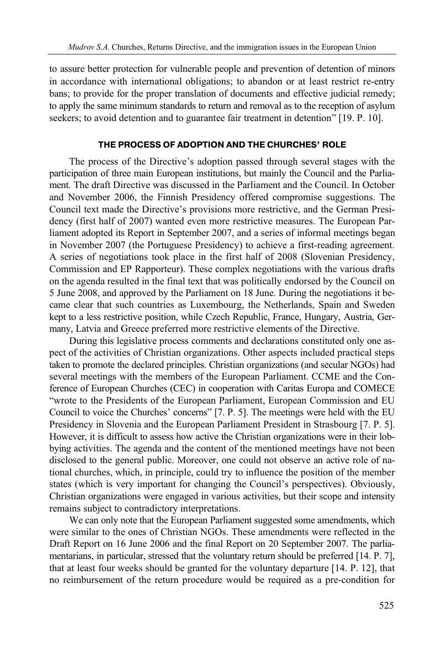to assure better protection for vulnerable people and prevention of detention of minors in accordance with international obligations; to abandon or at least restrict re-entry bans; to provide for the proper translation of documents and effective judicial remedy; to apply the same minimum standards to return and removal as to the reception of asylum seekers; to avoid detention and to guarantee fair treatment in detention" [19. P. 10].

### **THE PROCESS OF ADOPTION AND THE CHURCHES' ROLE**

The process of the Directive's adoption passed through several stages with the participation of three main European institutions, but mainly the Council and the Parliament. The draft Directive was discussed in the Parliament and the Council. In October and November 2006, the Finnish Presidency offered compromise suggestions. The Council text made the Directive's provisions more restrictive, and the German Presidency (first half of 2007) wanted even more restrictive measures. The European Parliament adopted its Report in September 2007, and a series of informal meetings began in November 2007 (the Portuguese Presidency) to achieve a first-reading agreement. A series of negotiations took place in the first half of 2008 (Slovenian Presidency, Commission and EP Rapporteur). These complex negotiations with the various drafts on the agenda resulted in the final text that was politically endorsed by the Council on 5 June 2008, and approved by the Parliament on 18 June. During the negotiations it became clear that such countries as Luxembourg, the Netherlands, Spain and Sweden kept to a less restrictive position, while Czech Republic, France, Hungary, Austria, Germany, Latvia and Greece preferred more restrictive elements of the Directive.

During this legislative process comments and declarations constituted only one aspect of the activities of Christian organizations. Other aspects included practical steps taken to promote the declared principles. Christian organizations (and secular NGOs) had several meetings with the members of the European Parliament. CCME and the Conference of European Churches (CEC) in cooperation with Caritas Europa and COMECE "wrote to the Presidents of the European Parliament, European Commission and EU Council to voice the Churches' concerns" [7. P. 5]. The meetings were held with the EU Presidency in Slovenia and the European Parliament President in Strasbourg [7. P. 5]. However, it is difficult to assess how active the Christian organizations were in their lobbying activities. The agenda and the content of the mentioned meetings have not been disclosed to the general public. Moreover, one could not observe an active role of national churches, which, in principle, could try to influence the position of the member states (which is very important for changing the Council's perspectives). Obviously, Christian organizations were engaged in various activities, but their scope and intensity remains subject to contradictory interpretations.

We can only note that the European Parliament suggested some amendments, which were similar to the ones of Christian NGOs. These amendments were reflected in the Draft Report on 16 June 2006 and the final Report on 20 September 2007. The parliamentarians, in particular, stressed that the voluntary return should be preferred [14. P. 7], that at least four weeks should be granted for the voluntary departure [14. P. 12], that no reimbursement of the return procedure would be required as a pre-condition for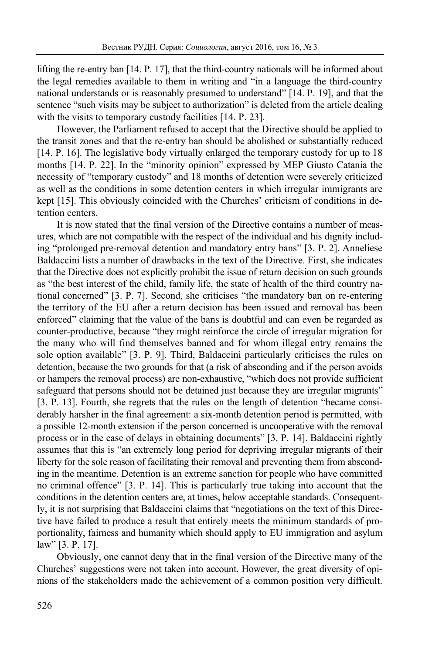lifting the re-entry ban [14. P. 17], that the third-country nationals will be informed about the legal remedies available to them in writing and "in a language the third-country national understands or is reasonably presumed to understand" [14. P. 19], and that the sentence "such visits may be subject to authorization" is deleted from the article dealing with the visits to temporary custody facilities [14. P. 23].

However, the Parliament refused to accept that the Directive should be applied to the transit zones and that the re-entry ban should be abolished or substantially reduced [14. P. 16]. The legislative body virtually enlarged the temporary custody for up to 18 months [14. P. 22]. In the "minority opinion" expressed by MEP Giusto Catania the necessity of "temporary custody" and 18 months of detention were severely criticized as well as the conditions in some detention centers in which irregular immigrants are kept [15]. This obviously coincided with the Churches' criticism of conditions in detention centers.

It is now stated that the final version of the Directive contains a number of measures, which are not compatible with the respect of the individual and his dignity including "prolonged pre-removal detention and mandatory entry bans" [3. P. 2]. Anneliese Baldaccini lists a number of drawbacks in the text of the Directive. First, she indicates that the Directive does not explicitly prohibit the issue of return decision on such grounds as "the best interest of the child, family life, the state of health of the third country national concerned" [3. P. 7]. Second, she criticises "the mandatory ban on re-entering the territory of the EU after a return decision has been issued and removal has been enforced" claiming that the value of the bans is doubtful and can even be regarded as counter-productive, because "they might reinforce the circle of irregular migration for the many who will find themselves banned and for whom illegal entry remains the sole option available" [3. P. 9]. Third, Baldaccini particularly criticises the rules on detention, because the two grounds for that (a risk of absconding and if the person avoids or hampers the removal process) are non-exhaustive, "which does not provide sufficient safeguard that persons should not be detained just because they are irregular migrants" [3. P. 13]. Fourth, she regrets that the rules on the length of detention "became considerably harsher in the final agreement: a six-month detention period is permitted, with a possible 12-month extension if the person concerned is uncooperative with the removal process or in the case of delays in obtaining documents" [3. P. 14]. Baldaccini rightly assumes that this is "an extremely long period for depriving irregular migrants of their liberty for the sole reason of facilitating their removal and preventing them from absconding in the meantime. Detention is an extreme sanction for people who have committed no criminal offence" [3. P. 14]. This is particularly true taking into account that the conditions in the detention centers are, at times, below acceptable standards. Consequently, it is not surprising that Baldaccini claims that "negotiations on the text of this Directive have failed to produce a result that entirely meets the minimum standards of proportionality, fairness and humanity which should apply to EU immigration and asylum law" [3. P. 17].

Obviously, one cannot deny that in the final version of the Directive many of the Churches' suggestions were not taken into account. However, the great diversity of opinions of the stakeholders made the achievement of a common position very difficult.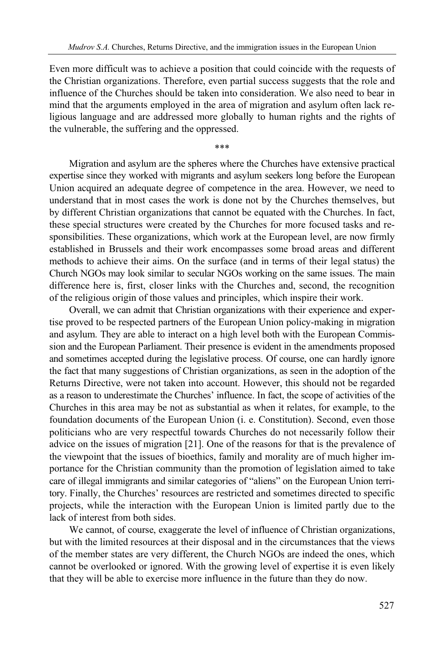Even more difficult was to achieve a position that could coincide with the requests of the Christian organizations. Therefore, even partial success suggests that the role and influence of the Churches should be taken into consideration. We also need to bear in mind that the arguments employed in the area of migration and asylum often lack religious language and are addressed more globally to human rights and the rights of the vulnerable, the suffering and the oppressed.

\*\*\*

Migration and asylum are the spheres where the Churches have extensive practical expertise since they worked with migrants and asylum seekers long before the European Union acquired an adequate degree of competence in the area. However, we need to understand that in most cases the work is done not by the Churches themselves, but by different Christian organizations that cannot be equated with the Churches. In fact, these special structures were created by the Churches for more focused tasks and responsibilities. These organizations, which work at the European level, are now firmly established in Brussels and their work encompasses some broad areas and different methods to achieve their aims. On the surface (and in terms of their legal status) the Church NGOs may look similar to secular NGOs working on the same issues. The main difference here is, first, closer links with the Churches and, second, the recognition of the religious origin of those values and principles, which inspire their work.

Overall, we can admit that Christian organizations with their experience and expertise proved to be respected partners of the European Union policy-making in migration and asylum. They are able to interact on a high level both with the European Commission and the European Parliament. Their presence is evident in the amendments proposed and sometimes accepted during the legislative process. Of course, one can hardly ignore the fact that many suggestions of Christian organizations, as seen in the adoption of the Returns Directive, were not taken into account. However, this should not be regarded as a reason to underestimate the Churches' influence. In fact, the scope of activities of the Churches in this area may be not as substantial as when it relates, for example, to the foundation documents of the European Union (i. e. Constitution). Second, even those politicians who are very respectful towards Churches do not necessarily follow their advice on the issues of migration [21]. One of the reasons for that is the prevalence of the viewpoint that the issues of bioethics, family and morality are of much higher importance for the Christian community than the promotion of legislation aimed to take care of illegal immigrants and similar categories of "aliens" on the European Union territory. Finally, the Churches' resources are restricted and sometimes directed to specific projects, while the interaction with the European Union is limited partly due to the lack of interest from both sides.

We cannot, of course, exaggerate the level of influence of Christian organizations, but with the limited resources at their disposal and in the circumstances that the views of the member states are very different, the Church NGOs are indeed the ones, which cannot be overlooked or ignored. With the growing level of expertise it is even likely that they will be able to exercise more influence in the future than they do now.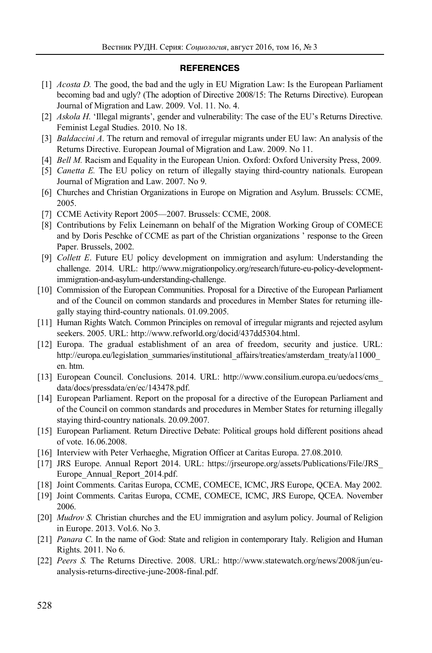#### **REFERENCES**

- [1] *Acosta D.* The good, the bad and the ugly in EU Migration Law: Is the European Parliament becoming bad and ugly? (The adoption of Directive 2008/15: The Returns Directive). European Journal of Migration and Law. 2009. Vol. 11. No. 4.
- [2] *Askola H*. 'Illegal migrants', gender and vulnerability: The case of the EU's Returns Directive. Feminist Legal Studies. 2010. No 18.
- [3] *Baldaccini A*. The return and removal of irregular migrants under EU law: An analysis of the Returns Directive. European Journal of Migration and Law. 2009. No 11.
- [4] *Bell M.* Racism and Equality in the European Union. Oxford: Oxford University Press, 2009.
- [5] *Canetta E.* The EU policy on return of illegally staying third-country nationals. European Journal of Migration and Law. 2007. No 9.
- [6] Churches and Christian Organizations in Europe on Migration and Asylum. Brussels: CCME, 2005.
- [7] CCME Activity Report 2005—2007. Brussels: CCME, 2008.
- [8] Contributions by Felix Leinemann on behalf of the Migration Working Group of COMECE and by Doris Peschke of CCME as part of the Christian organizations ' response to the Green Paper. Brussels, 2002.
- [9] *Collett E*. Future EU policy development on immigration and asylum: Understanding the challenge. 2014. URL: http://www.migrationpolicy.org/research/future-eu-policy-developmentimmigration-and-asylum-understanding-challenge.
- [10] Commission of the European Communities. Proposal for a Directive of the European Parliament and of the Council on common standards and procedures in Member States for returning illegally staying third-country nationals. 01.09.2005.
- [11] Human Rights Watch. Common Principles on removal of irregular migrants and rejected asylum seekers. 2005. URL: http://www.refworld.org/docid/437dd5304.html.
- [12] Europa. The gradual establishment of an area of freedom, security and justice. URL: http://europa.eu/legislation\_summaries/institutional\_affairs/treaties/amsterdam\_treaty/a11000 en. htm.
- [13] European Council. Conclusions. 2014. URL: http://www.consilium.europa.eu/uedocs/cms\_ data/docs/pressdata/en/ec/143478.pdf.
- [14] European Parliament. Report on the proposal for a directive of the European Parliament and of the Council on common standards and procedures in Member States for returning illegally staying third-country nationals. 20.09.2007.
- [15] European Parliament. Return Directive Debate: Political groups hold different positions ahead of vote. 16.06.2008.
- [16] Interview with Peter Verhaeghe, Migration Officer at Caritas Europa. 27.08.2010.
- [17] JRS Europe. Annual Report 2014. URL: https://jrseurope.org/assets/Publications/File/JRS\_ Europe Annual Report 2014.pdf.
- [18] Joint Comments. Caritas Europa, CCME, COMECE, ICMC, JRS Europe, QCEA. May 2002.
- [19] Joint Comments. Caritas Europa, CCME, COMECE, ICMC, JRS Europe, QCEA. November 2006.
- [20] *Mudrov S.* Christian churches and the EU immigration and asylum policy. Journal of Religion in Europe. 2013. Vol.6. No 3.
- [21] *Panara C*. In the name of God: State and religion in contemporary Italy. Religion and Human Rights. 2011. No 6.
- [22] *Peers S.* The Returns Directive. 2008. URL: http://www.statewatch.org/news/2008/jun/euanalysis-returns-directive-june-2008-final.pdf.